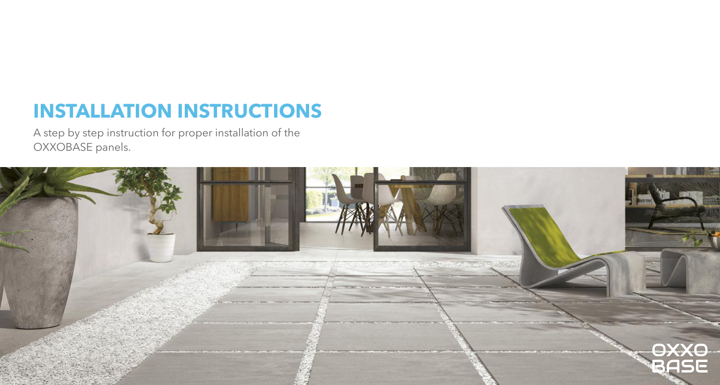A step by step instruction for proper installation of the OXXOBASE panels.



# **INSTALLATION INSTRUCTIONS**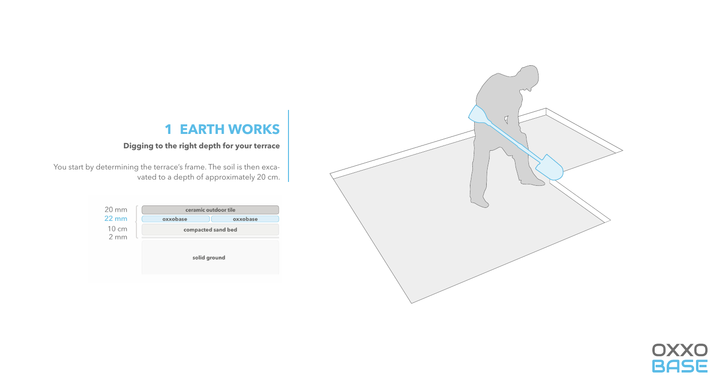#### **Digging to the right depth for your terrace**

You start by determining the terrace's frame. The soil is then excavated to a depth of approximately 20 cm.

| $20 \text{ mm}$<br>$22 \text{ mm}$ | ceramic outdoor tile<br>oxxobase |
|------------------------------------|----------------------------------|
|                                    | oxxobase                         |
| $10 \text{ cm}$                    | compacted sand bed               |
| 2mm                                |                                  |
|                                    |                                  |
|                                    |                                  |
|                                    | solid ground                     |
|                                    |                                  |
|                                    |                                  |





# **1 EARTH WORKS**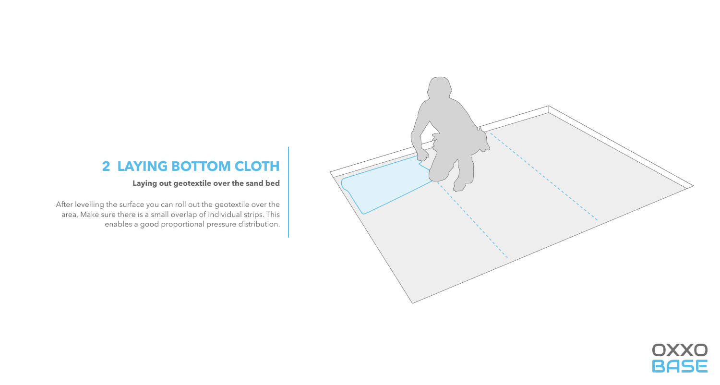**Laying out geotextile over the sand bed**

After levelling the surface you can roll out the geotextile over the area. Make sure there is a small overlap of individual strips. This enables a good proportional pressure distribution.





### **2 LAYING BOTTOM CLOTH**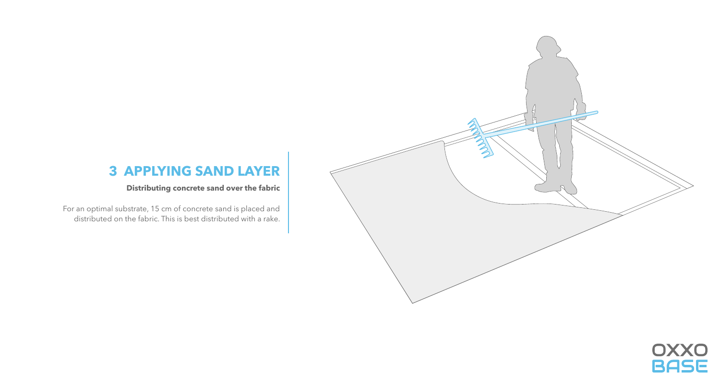#### **Distributing concrete sand over the fabric**

For an optimal substrate, 15 cm of concrete sand is placed and distributed on the fabric. This is best distributed with a rake.





### **3 APPLYING SAND LAYER**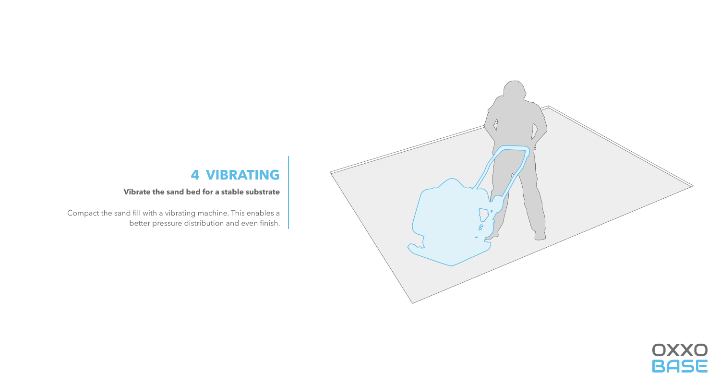#### **Vibrate the sand bed for a stable substrate**

Compact the sand fill with a vibrating machine. This enables a better pressure distribution and even finish.





### **4 VIBRATING**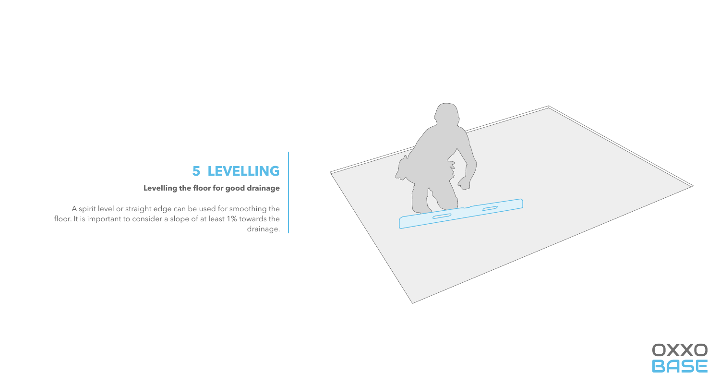#### **Levelling the floor for good drainage**

A spirit level or straight edge can be used for smoothing the floor. It is important to consider a slope of at least 1% towards the drainage.





### **5 LEVELLING**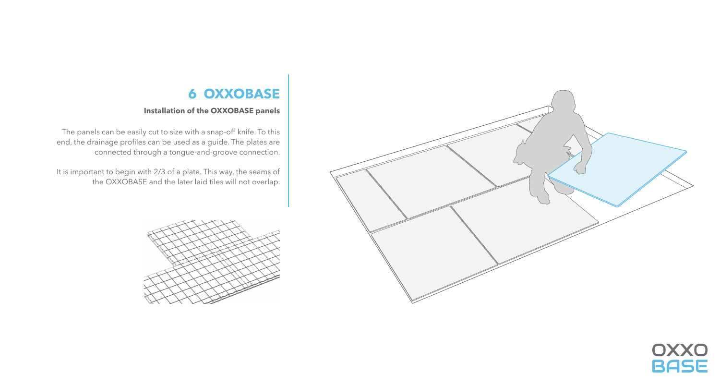#### **Installation of the OXXOBASE panels**

The panels can be easily cut to size with a snap-off knife. To this end, the drainage profiles can be used as a guide. The plates are connected through a tongue-and-groove connection.

It is important to begin with 2/3 of a plate. This way, the seams of the OXXOBASE and the later laid tiles will not overlap.







### **6 OXXOBASE**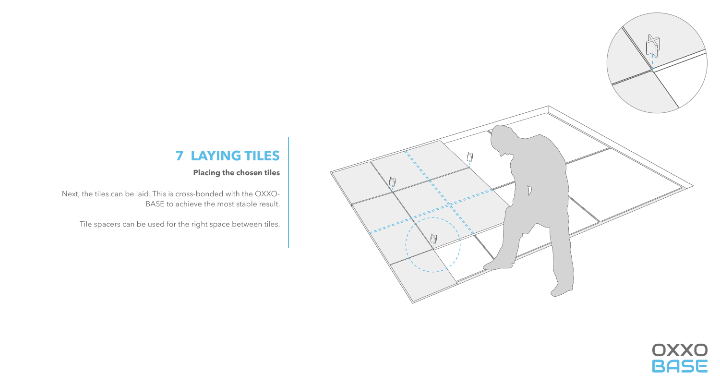#### **Placing the chosen tiles**

Next, the tiles can be laid. This is cross-bonded with the OXXO-BASE to achieve the most stable result.

Tile spacers can be used for the right space between tiles.





### **7 LAYING TILES**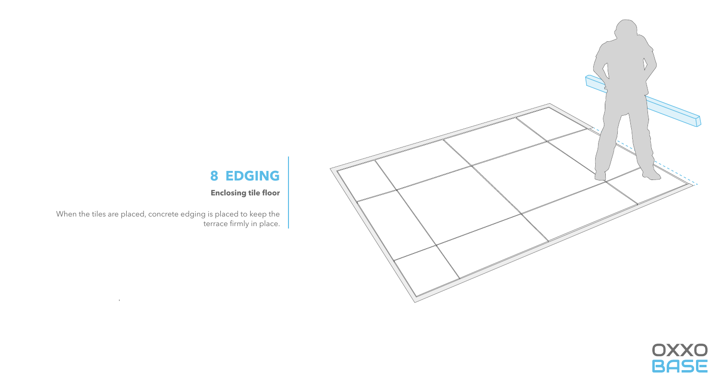**Enclosing tile floor**

When the tiles are placed, concrete edging is placed to keep the terrace firmly in place.

 $\sim 10^{-5}$ 





### **8 EDGING**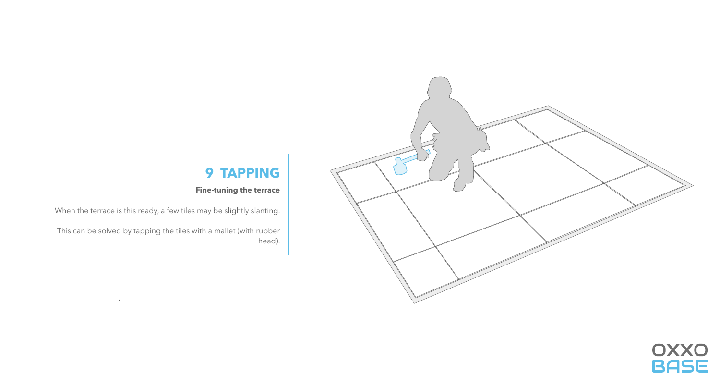#### **Fine-tuning the terrace**

When the terrace is this ready, a few tiles may be slightly slanting.

This can be solved by tapping the tiles with a mallet (with rubber head).

 $\mathbf{u}$ 





### **9 TAPPING**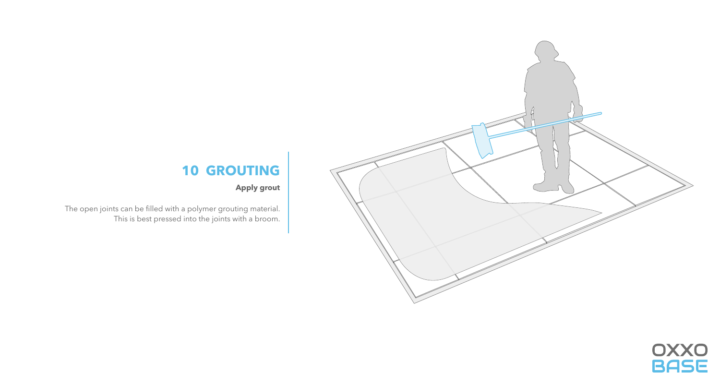**Apply grout**

The open joints can be filled with a polymer grouting material. This is best pressed into the joints with a broom.





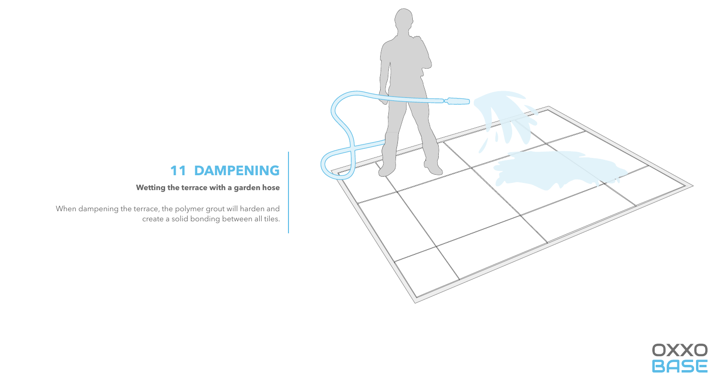#### **Wetting the terrace with a garden hose**

When dampening the terrace, the polymer grout will harden and create a solid bonding between all tiles.





### **11 DAMPENING**